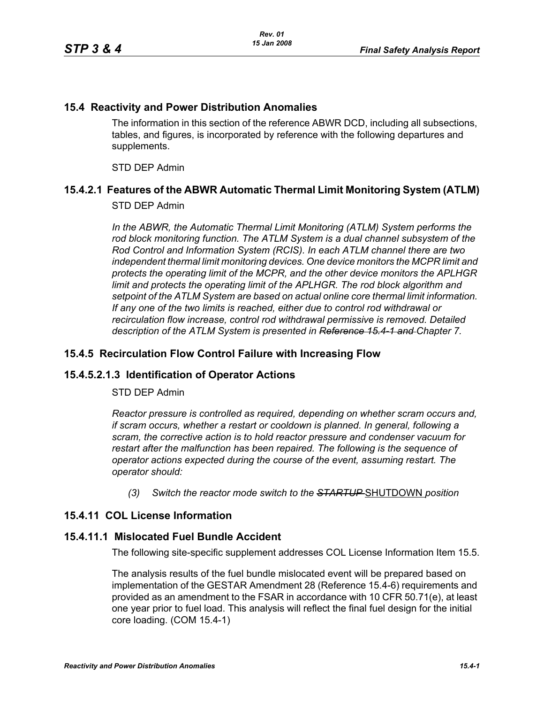### **15.4 Reactivity and Power Distribution Anomalies**

The information in this section of the reference ABWR DCD, including all subsections, tables, and figures, is incorporated by reference with the following departures and supplements.

STD DEP Admin

# **15.4.2.1 Features of the ABWR Automatic Thermal Limit Monitoring System (ATLM)**

### STD DEP Admin

In the ABWR, the Automatic Thermal Limit Monitoring (ATLM) System performs the *rod block monitoring function. The ATLM System is a dual channel subsystem of the Rod Control and Information System (RCIS). In each ATLM channel there are two independent thermal limit monitoring devices. One device monitors the MCPR limit and protects the operating limit of the MCPR, and the other device monitors the APLHGR*  limit and protects the operating limit of the APLHGR. The rod block algorithm and *setpoint of the ATLM System are based on actual online core thermal limit information. If any one of the two limits is reached, either due to control rod withdrawal or recirculation flow increase, control rod withdrawal permissive is removed. Detailed description of the ATLM System is presented in Reference 15.4-1 and Chapter 7.*

### **15.4.5 Recirculation Flow Control Failure with Increasing Flow**

# **15.4.5.2.1.3 Identification of Operator Actions**

#### STD DEP Admin

*Reactor pressure is controlled as required, depending on whether scram occurs and, if scram occurs, whether a restart or cooldown is planned. In general, following a scram, the corrective action is to hold reactor pressure and condenser vacuum for restart after the malfunction has been repaired. The following is the sequence of operator actions expected during the course of the event, assuming restart. The operator should:*

*(3) Switch the reactor mode switch to the STARTUP* SHUTDOWN *position*

# **15.4.11 COL License Information**

#### **15.4.11.1 Mislocated Fuel Bundle Accident**

The following site-specific supplement addresses COL License Information Item 15.5.

The analysis results of the fuel bundle mislocated event will be prepared based on implementation of the GESTAR Amendment 28 (Reference 15.4-6) requirements and provided as an amendment to the FSAR in accordance with 10 CFR 50.71(e), at least one year prior to fuel load. This analysis will reflect the final fuel design for the initial core loading. (COM 15.4-1)